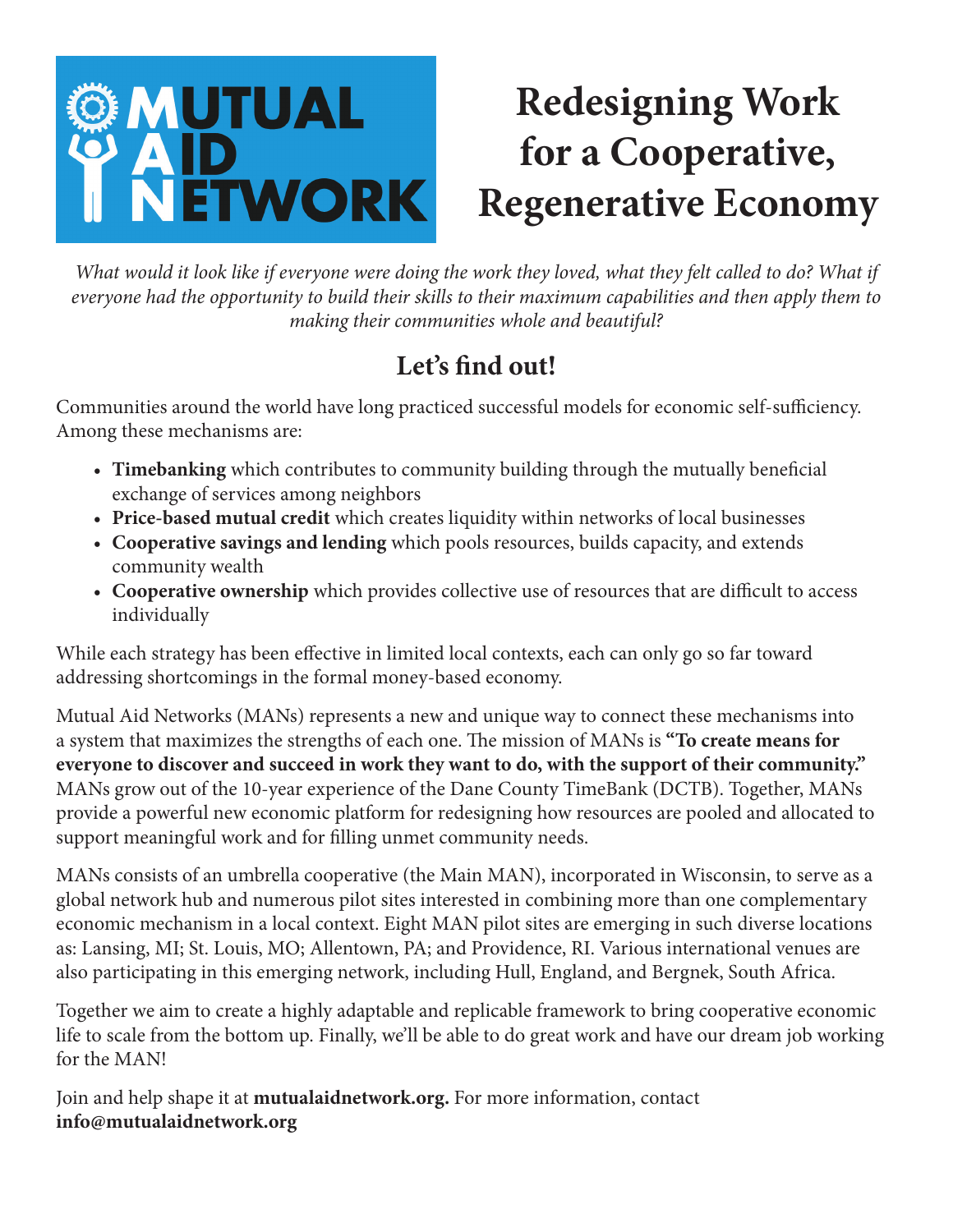## **OMUTUAL Redesigning Work for a Cooperative, ETWORK Regenerative Economy**

*What would it look like if everyone were doing the work they loved, what they felt called to do? What if everyone had the opportunity to build their skills to their maximum capabilities and then apply them to making their communities whole and beautiful?* 

## Let's find out!

Communities around the world have long practiced successful models for economic self-sufficiency. Among these mechanisms are:

- **Timebanking** which contributes to community building through the mutually benefcial exchange of services among neighbors
- **Price-based mutual credit** which creates liquidity within networks of local businesses
- **Cooperative savings and lending** which pools resources, builds capacity, and extends community wealth
- Cooperative ownership which provides collective use of resources that are difficult to access individually

While each strategy has been efective in limited local contexts, each can only go so far toward addressing shortcomings in the formal money-based economy.

Mutual Aid Networks (MANs) represents a new and unique way to connect these mechanisms into a system that maximizes the strengths of each one. The mission of MANs is **"To create means for everyone to discover and succeed in work they want to do, with the support of their community."** MANs grow out of the 10-year experience of the Dane County TimeBank (DCTB). Together, MANs provide a powerful new economic platform for redesigning how resources are pooled and allocated to support meaningful work and for flling unmet community needs.

MANs consists of an umbrella cooperative (the Main MAN), incorporated in Wisconsin, to serve as a global network hub and numerous pilot sites interested in combining more than one complementary economic mechanism in a local context. Eight MAN pilot sites are emerging in such diverse locations as: Lansing, MI; St. Louis, MO; Allentown, PA; and Providence, RI. Various international venues are also participating in this emerging network, including Hull, England, and Bergnek, South Africa.

Together we aim to create a highly adaptable and replicable framework to bring cooperative economic life to scale from the bottom up. Finally, we'll be able to do great work and have our dream job working for the MAN!

Join and help shape it at **mutualaidnetwork.org.** For more information, contact **info@mutualaidnetwork.org**